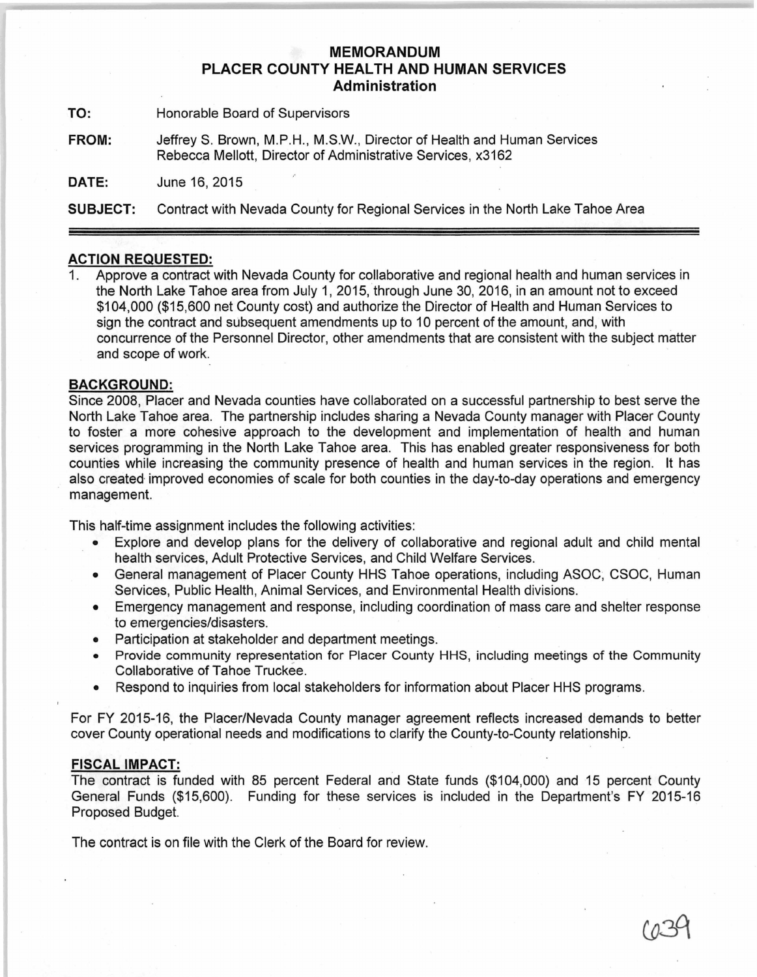## **MEMORANDUM PLACER COUNTY HEALTH AND HUMAN SERVICES Administration**

**TO:** Honorable Board of Supervisors

**FROM:** JeffreyS. Brown, M.P.H., M.S.W., Director of Health and Human Services Rebecca Mellott, Director of Administrative Services, x3162

**DATE:** June 16, 2015

**SUBJECT:** Contract with Nevada County for Regional Services in the North Lake Tahoe Area

## **ACTION REQUESTED:**

1. Approve a contract with Nevada County for collaborative and regional health and human services in the North Lake Tahoe area from July 1, 2015, through June 30, 2016, in an amount not to exceed \$104,000 (\$15,600 net County cost) and authorize the Director of Health and Human Services to sign the contract and subsequent amendments up to 10 percent of the amount, and, with concurrence of the Personnel Director, other amendments that are consistent with the subject matter and scope of work.

## **BACKGROUND:**

Since 2008, Placer and Nevada counties have collaborated on a successful partnership to best serve the North Lake Tahoe area. The partnership includes sharing a Nevada County manager with Placer County to foster a more cohesive approach to the development and implementation of health and human services programming in the North Lake Tahoe area. This has enabled greater responsiveness for both counties while increasing the community presence of health and human services in the region. It has also created improved economies of scale for both counties in the day-to-day operations and emergency management.

This half-time assignment includes the following activities:

- Explore and develop plans for the delivery of collaborative and regional adult and child mental health services, Adult Protective Services, and Child Welfare Services.
- General management of Placer County HHS Tahoe operations, including ASOC; CSOC, Human Services, Public Health, Animal Services, and Environmental Health divisions.
- Emergency management and response, including coordination of mass care and shelter response to emergencies/disasters.
- Participation at stakeholder and department meetings.
- Provide community representation for Placer County HHS, including meetings of the Community Collaborative of Tahoe Truckee.
- Respond to inquiries from local stakeholders for information about Placer HHS programs.

For FY 2015-16, the Placer/Nevada County manager agreement reflects increased demands to better cover County operational needs and modifications to clarify the County-to-County relationship.

## **FISCAL IMPACT:**

The contract is funded with 85 percent Federal and State funds (\$104,000) and 15 percent County General Funds (\$15,600). Funding for these services is included in the Department's FY 2015-16 Proposed Budget.

The contract is on file with the Clerk of the Board for review.